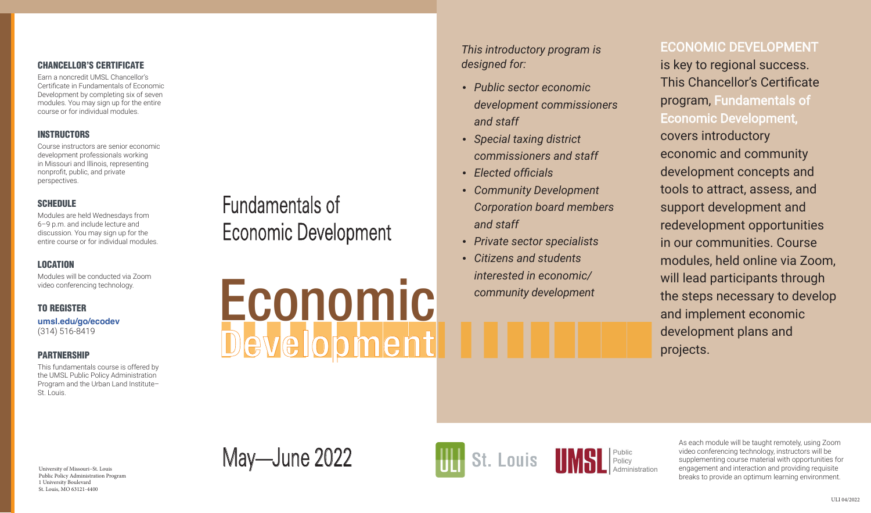*This introductory program is designed for:*

- *Public sector economic development commissioners and staff*
- *Special taxing district commissioners and staff*
- *Elected officials*
- *Community Development Corporation board members and staff*
- *Private sector specialists*
- *Citizens and students interested in economic/ community development*

University of Missouri–St. Louis  $\text{May}$ —June 2022



# ECONOMIC DEVELOPMENT is key to regional success. This Chancellor's Certificate program, Fundamentals of Economic Development, covers introductory economic and community development concepts and tools to attract, assess, and support development and redevelopment opportunities in our communities. Course modules, held online via Zoom, will lead participants through the steps necessary to develop and implement economic development plans and projects.

Fundamentals of Economic Development

Development Economic

Public Policy Administration Program 1 University Boulevard St. Louis, MO 63121-4400

#### CHANCELLOR'S CERTIFICATE

Earn a noncredit UMSL Chancellor's Certificate in Fundamentals of Economic Development by completing six of seven modules. You may sign up for the entire course or for individual modules.

#### **INSTRUCTORS**

Course instructors are senior economic development professionals working in Missouri and Illinois, representing nonprofit, public, and private perspectives.

#### **SCHEDULE**

Modules are held Wednesdays from 6–9 p.m. and include lecture and discussion. You may sign up for the entire course or for individual modules.

### LOCATION

Modules will be conducted via Zoom video conferencing technology.

### TO REGISTER

**[umsl.edu/go/ecodev](http://www.umsl.edu/gradschool/ppa/Noncredit%20Certificates/Economic%20Development.html)** (314) 516-8419

#### PARTNERSHIP

This fundamentals course is offered by the UMSL Public Policy Administration Program and the Urban Land Institute– St. Louis.

As each module will be taught remotely, using Zoom video conferencing technology, instructors will be supplementing course material with opportunities for engagement and interaction and providing requisite breaks to provide an optimum learning environment.